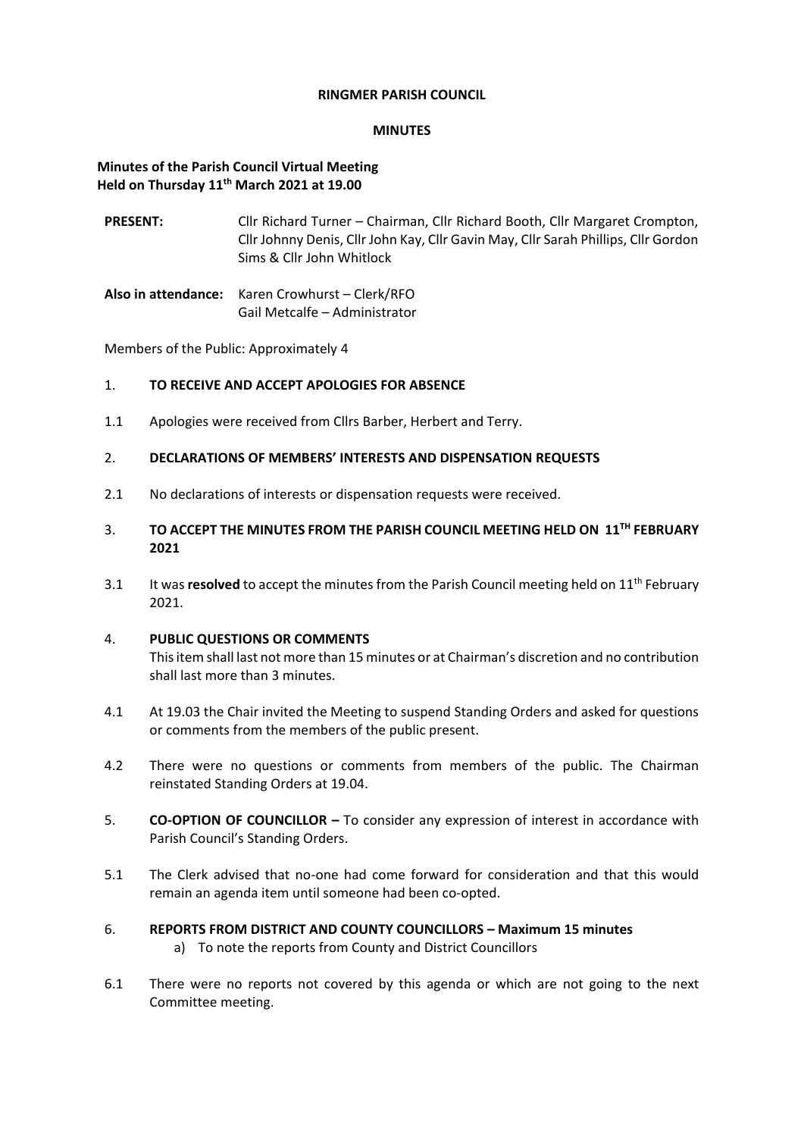#### **RINGMER PARISH COUNCIL**

### **MINUTES**

## **Minutes of the Parish Council Virtual Meeting Held on Thursday 11th March 2021 at 19.00**

- **PRESENT:** Cllr Richard Turner Chairman, Cllr Richard Booth, Cllr Margaret Crompton, Cllr Johnny Denis, Cllr John Kay, Cllr Gavin May, Cllr Sarah Phillips, Cllr Gordon Sims & Cllr John Whitlock
- **Also in attendance:** Karen Crowhurst Clerk/RFO Gail Metcalfe – Administrator

Members of the Public: Approximately 4

## 1. **TO RECEIVE AND ACCEPT APOLOGIES FOR ABSENCE**

1.1 Apologies were received from Cllrs Barber, Herbert and Terry.

## 2. **DECLARATIONS OF MEMBERS' INTERESTS AND DISPENSATION REQUESTS**

- 2.1 No declarations of interests or dispensation requests were received.
- 3. **TO ACCEPT THE MINUTES FROM THE PARISH COUNCIL MEETING HELD ON 11TH FEBRUARY 2021**
- 3.1 It was **resolved** to accept the minutes from the Parish Council meeting held on 11th February 2021.

## 4. **PUBLIC QUESTIONS OR COMMENTS**

This item shall last not more than 15 minutes or at Chairman's discretion and no contribution shall last more than 3 minutes.

- 4.1 At 19.03 the Chair invited the Meeting to suspend Standing Orders and asked for questions or comments from the members of the public present.
- 4.2 There were no questions or comments from members of the public. The Chairman reinstated Standing Orders at 19.04.
- 5. **CO-OPTION OF COUNCILLOR –** To consider any expression of interest in accordance with Parish Council's Standing Orders.
- 5.1 The Clerk advised that no-one had come forward for consideration and that this would remain an agenda item until someone had been co-opted.
- 6. **REPORTS FROM DISTRICT AND COUNTY COUNCILLORS – Maximum 15 minutes**
	- a) To note the reports from County and District Councillors
- 6.1 There were no reports not covered by this agenda or which are not going to the next Committee meeting.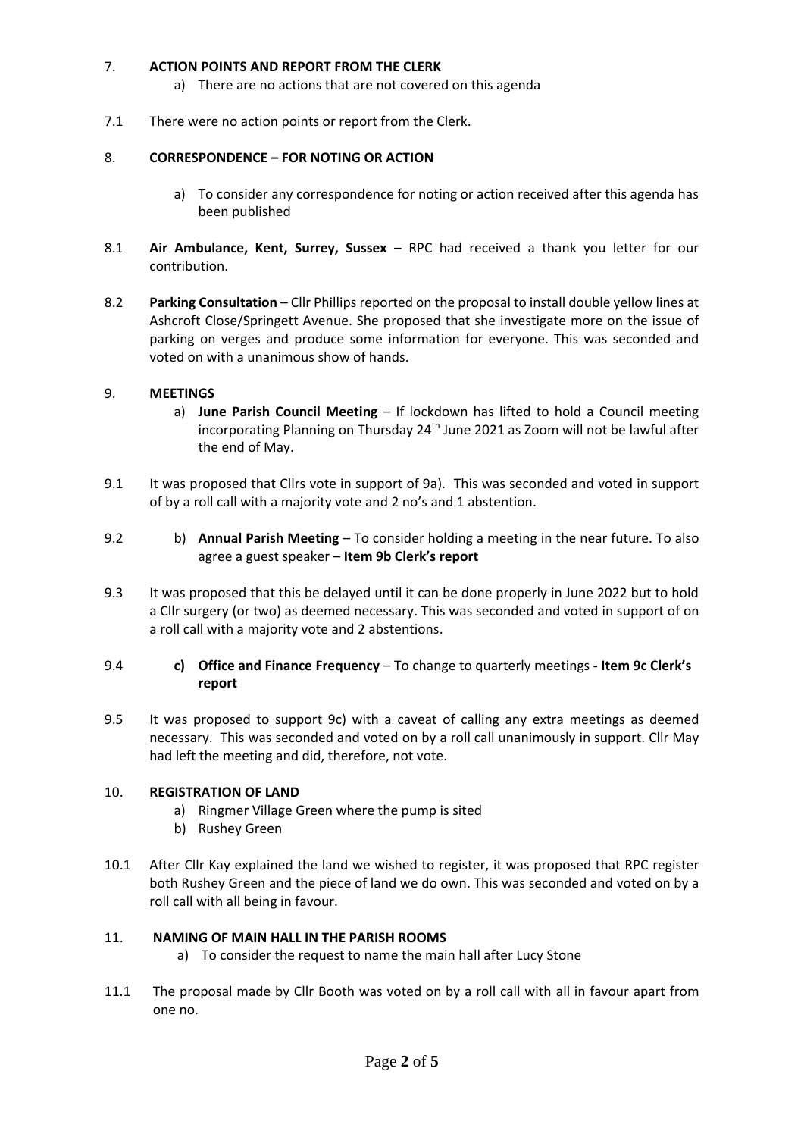## 7. **ACTION POINTS AND REPORT FROM THE CLERK**

- a) There are no actions that are not covered on this agenda
- 7.1 There were no action points or report from the Clerk.

## 8. **CORRESPONDENCE – FOR NOTING OR ACTION**

- a) To consider any correspondence for noting or action received after this agenda has been published
- 8.1 **Air Ambulance, Kent, Surrey, Sussex** RPC had received a thank you letter for our contribution.
- 8.2 **Parking Consultation** Cllr Phillips reported on the proposal to install double yellow lines at Ashcroft Close/Springett Avenue. She proposed that she investigate more on the issue of parking on verges and produce some information for everyone. This was seconded and voted on with a unanimous show of hands.

## 9. **MEETINGS**

- a) **June Parish Council Meeting** If lockdown has lifted to hold a Council meeting incorporating Planning on Thursday 24<sup>th</sup> June 2021 as Zoom will not be lawful after the end of May.
- 9.1 It was proposed that Cllrs vote in support of 9a). This was seconded and voted in support of by a roll call with a majority vote and 2 no's and 1 abstention.
- 9.2 b) **Annual Parish Meeting** To consider holding a meeting in the near future. To also agree a guest speaker – **Item 9b Clerk's report**
- 9.3 It was proposed that this be delayed until it can be done properly in June 2022 but to hold a Cllr surgery (or two) as deemed necessary. This was seconded and voted in support of on a roll call with a majority vote and 2 abstentions.

## 9.4 **c) Office and Finance Frequency** – To change to quarterly meetings **- Item 9c Clerk's report**

9.5 It was proposed to support 9c) with a caveat of calling any extra meetings as deemed necessary. This was seconded and voted on by a roll call unanimously in support. Cllr May had left the meeting and did, therefore, not vote.

#### 10. **REGISTRATION OF LAND**

- a) Ringmer Village Green where the pump is sited
- b) Rushey Green
- 10.1 After Cllr Kay explained the land we wished to register, it was proposed that RPC register both Rushey Green and the piece of land we do own. This was seconded and voted on by a roll call with all being in favour.

#### 11. **NAMING OF MAIN HALL IN THE PARISH ROOMS**

- a) To consider the request to name the main hall after Lucy Stone
- 11.1 The proposal made by Cllr Booth was voted on by a roll call with all in favour apart from one no.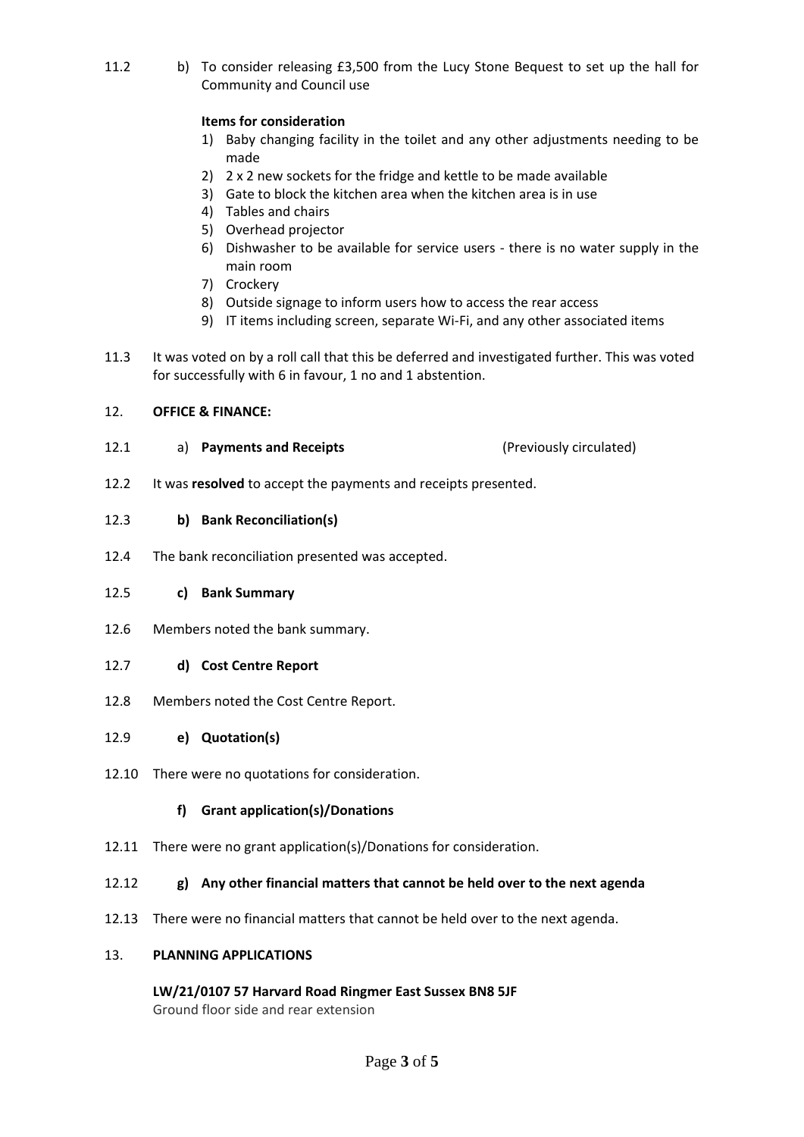11.2 b) To consider releasing £3,500 from the Lucy Stone Bequest to set up the hall for Community and Council use

## **Items for consideration**

- 1) Baby changing facility in the toilet and any other adjustments needing to be made
- 2) 2 x 2 new sockets for the fridge and kettle to be made available
- 3) Gate to block the kitchen area when the kitchen area is in use
- 4) Tables and chairs
- 5) Overhead projector
- 6) Dishwasher to be available for service users there is no water supply in the main room
- 7) Crockery
- 8) Outside signage to inform users how to access the rear access
- 9) IT items including screen, separate Wi-Fi, and any other associated items
- 11.3 It was voted on by a roll call that this be deferred and investigated further. This was voted for successfully with 6 in favour, 1 no and 1 abstention.

#### 12. **OFFICE & FINANCE:**

- 12.1 a) **Payments and Receipts** (Previously circulated)
- 12.2 It was **resolved** to accept the payments and receipts presented.

## 12.3 **b) Bank Reconciliation(s)**

12.4 The bank reconciliation presented was accepted.

#### 12.5 **c) Bank Summary**

- 12.6 Members noted the bank summary.
- 12.7 **d) Cost Centre Report**
- 12.8 Members noted the Cost Centre Report.

#### 12.9 **e) Quotation(s)**

12.10 There were no quotations for consideration.

#### **f) Grant application(s)/Donations**

12.11 There were no grant application(s)/Donations for consideration.

#### 12.12 **g) Any other financial matters that cannot be held over to the next agenda**

12.13 There were no financial matters that cannot be held over to the next agenda.

#### 13. **PLANNING APPLICATIONS**

**LW/21/0107 57 Harvard Road Ringmer East Sussex BN8 5JF** Ground floor side and rear extension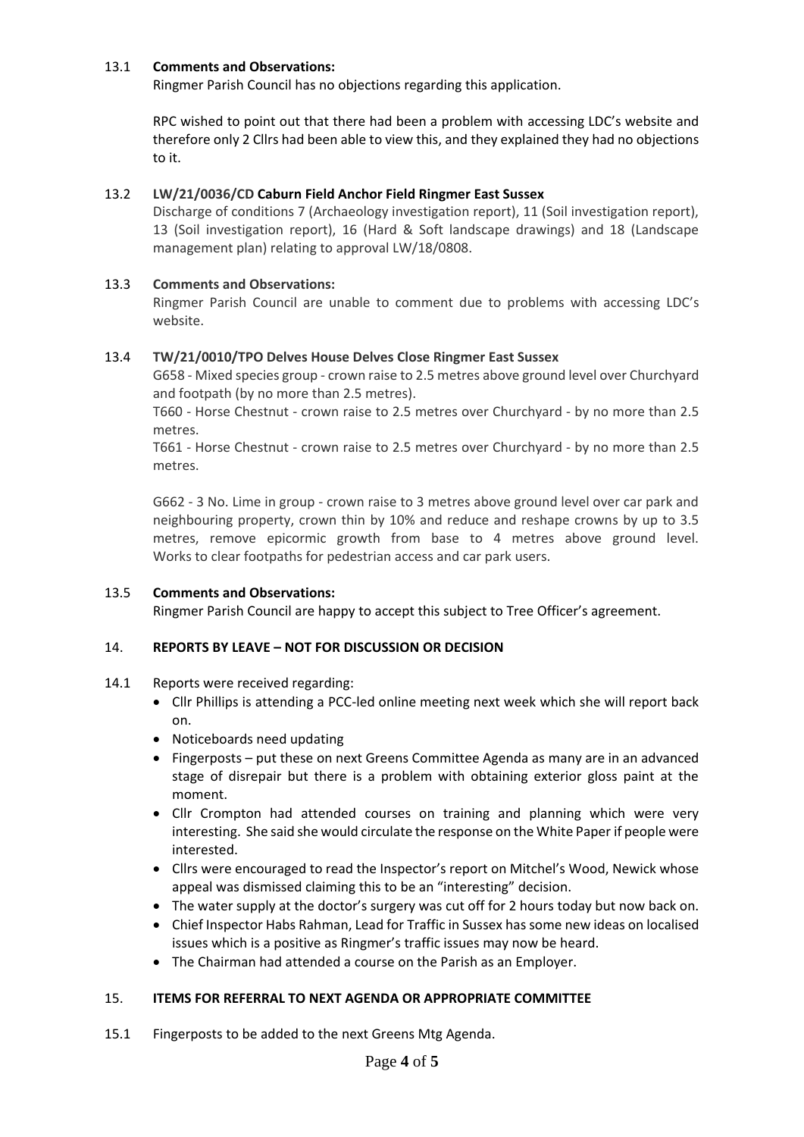## 13.1 **Comments and Observations:**

Ringmer Parish Council has no objections regarding this application.

RPC wished to point out that there had been a problem with accessing LDC's website and therefore only 2 Cllrs had been able to view this, and they explained they had no objections to it.

## 13.2 **LW/21/0036/CD Caburn Field Anchor Field Ringmer East Sussex**

Discharge of conditions 7 (Archaeology investigation report), 11 (Soil investigation report), 13 (Soil investigation report), 16 (Hard & Soft landscape drawings) and 18 (Landscape management plan) relating to approval LW/18/0808.

## 13.3 **Comments and Observations:**

Ringmer Parish Council are unable to comment due to problems with accessing LDC's website.

## 13.4 **TW/21/0010/TPO Delves House Delves Close Ringmer East Sussex**

G658 - Mixed species group - crown raise to 2.5 metres above ground level over Churchyard and footpath (by no more than 2.5 metres).

T660 - Horse Chestnut - crown raise to 2.5 metres over Churchyard - by no more than 2.5 metres.

T661 - Horse Chestnut - crown raise to 2.5 metres over Churchyard - by no more than 2.5 metres.

G662 - 3 No. Lime in group - crown raise to 3 metres above ground level over car park and neighbouring property, crown thin by 10% and reduce and reshape crowns by up to 3.5 metres, remove epicormic growth from base to 4 metres above ground level. Works to clear footpaths for pedestrian access and car park users.

#### 13.5 **Comments and Observations:**

Ringmer Parish Council are happy to accept this subject to Tree Officer's agreement.

## 14. **REPORTS BY LEAVE – NOT FOR DISCUSSION OR DECISION**

- 14.1 Reports were received regarding:
	- Cllr Phillips is attending a PCC-led online meeting next week which she will report back on.
	- Noticeboards need updating
	- Fingerposts put these on next Greens Committee Agenda as many are in an advanced stage of disrepair but there is a problem with obtaining exterior gloss paint at the moment.
	- Cllr Crompton had attended courses on training and planning which were very interesting. She said she would circulate the response on the White Paper if people were interested.
	- Cllrs were encouraged to read the Inspector's report on Mitchel's Wood, Newick whose appeal was dismissed claiming this to be an "interesting" decision.
	- The water supply at the doctor's surgery was cut off for 2 hours today but now back on.
	- Chief Inspector Habs Rahman, Lead for Traffic in Sussex has some new ideas on localised issues which is a positive as Ringmer's traffic issues may now be heard.
	- The Chairman had attended a course on the Parish as an Employer.

### 15. **ITEMS FOR REFERRAL TO NEXT AGENDA OR APPROPRIATE COMMITTEE**

15.1 Fingerposts to be added to the next Greens Mtg Agenda.